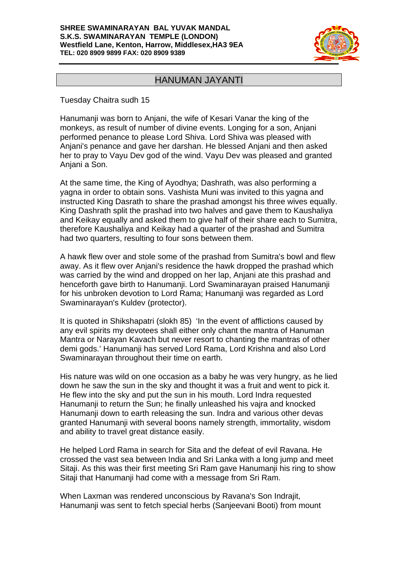#### **SHREE SWAMINARAYAN BAL YUVAK MANDAL S.K.S. SWAMINARAYAN TEMPLE (LONDON) Westfield Lane, Kenton, Harrow, Middlesex,HA3 9EA TEL: 020 8909 9899 FAX: 020 8909 9389**



## HANUMAN JAYANTI

Tuesday Chaitra sudh 15

Hanumanji was born to Anjani, the wife of Kesari Vanar the king of the monkeys, as result of number of divine events. Longing for a son, Anjani performed penance to please Lord Shiva. Lord Shiva was pleased with Anjani's penance and gave her darshan. He blessed Anjani and then asked her to pray to Vayu Dev god of the wind. Vayu Dev was pleased and granted Anjani a Son.

At the same time, the King of Ayodhya; Dashrath, was also performing a yagna in order to obtain sons. Vashista Muni was invited to this yagna and instructed King Dasrath to share the prashad amongst his three wives equally. King Dashrath split the prashad into two halves and gave them to Kaushaliya and Keikay equally and asked them to give half of their share each to Sumitra, therefore Kaushaliya and Keikay had a quarter of the prashad and Sumitra had two quarters, resulting to four sons between them.

A hawk flew over and stole some of the prashad from Sumitra's bowl and flew away. As it flew over Anjani's residence the hawk dropped the prashad which was carried by the wind and dropped on her lap, Anjani ate this prashad and henceforth gave birth to Hanumanji. Lord Swaminarayan praised Hanumanji for his unbroken devotion to Lord Rama; Hanumanji was regarded as Lord Swaminarayan's Kuldev (protector).

It is quoted in Shikshapatri (slokh 85) 'In the event of afflictions caused by any evil spirits my devotees shall either only chant the mantra of Hanuman Mantra or Narayan Kavach but never resort to chanting the mantras of other demi gods.' Hanumanji has served Lord Rama, Lord Krishna and also Lord Swaminarayan throughout their time on earth.

His nature was wild on one occasion as a baby he was very hungry, as he lied down he saw the sun in the sky and thought it was a fruit and went to pick it. He flew into the sky and put the sun in his mouth. Lord Indra requested Hanumanji to return the Sun; he finally unleashed his vajra and knocked Hanumanji down to earth releasing the sun. Indra and various other devas granted Hanumanji with several boons namely strength, immortality, wisdom and ability to travel great distance easily.

He helped Lord Rama in search for Sita and the defeat of evil Ravana. He crossed the vast sea between India and Sri Lanka with a long jump and meet Sitaji. As this was their first meeting Sri Ram gave Hanumanji his ring to show Sitaji that Hanumanji had come with a message from Sri Ram.

When Laxman was rendered unconscious by Ravana's Son Indrajit, Hanumanji was sent to fetch special herbs (Sanjeevani Booti) from mount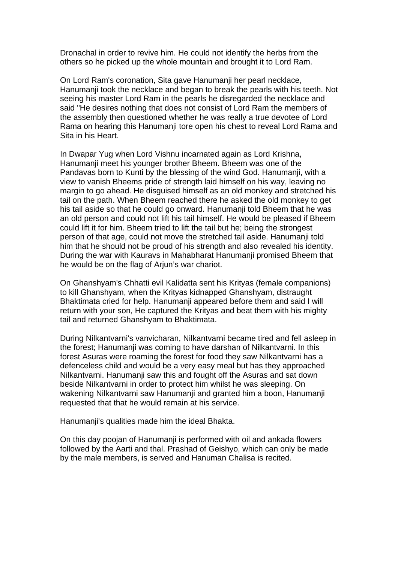Dronachal in order to revive him. He could not identify the herbs from the others so he picked up the whole mountain and brought it to Lord Ram.

On Lord Ram's coronation, Sita gave Hanumanji her pearl necklace, Hanumanji took the necklace and began to break the pearls with his teeth. Not seeing his master Lord Ram in the pearls he disregarded the necklace and said "He desires nothing that does not consist of Lord Ram the members of the assembly then questioned whether he was really a true devotee of Lord Rama on hearing this Hanumanji tore open his chest to reveal Lord Rama and Sita in his Heart.

In Dwapar Yug when Lord Vishnu incarnated again as Lord Krishna, Hanumanji meet his younger brother Bheem. Bheem was one of the Pandavas born to Kunti by the blessing of the wind God. Hanumanji, with a view to vanish Bheems pride of strength laid himself on his way, leaving no margin to go ahead. He disguised himself as an old monkey and stretched his tail on the path. When Bheem reached there he asked the old monkey to get his tail aside so that he could go onward. Hanumanii told Bheem that he was an old person and could not lift his tail himself. He would be pleased if Bheem could lift it for him. Bheem tried to lift the tail but he; being the strongest person of that age, could not move the stretched tail aside. Hanumanji told him that he should not be proud of his strength and also revealed his identity. During the war with Kauravs in Mahabharat Hanumanji promised Bheem that he would be on the flag of Arjun's war chariot.

On Ghanshyam's Chhatti evil Kalidatta sent his Krityas (female companions) to kill Ghanshyam, when the Krityas kidnapped Ghanshyam, distraught Bhaktimata cried for help. Hanumanji appeared before them and said I will return with your son, He captured the Krityas and beat them with his mighty tail and returned Ghanshyam to Bhaktimata.

During Nilkantvarni's vanvicharan, Nilkantvarni became tired and fell asleep in the forest; Hanumanji was coming to have darshan of Nilkantvarni. In this forest Asuras were roaming the forest for food they saw Nilkantvarni has a defenceless child and would be a very easy meal but has they approached Nilkantvarni. Hanumanji saw this and fought off the Asuras and sat down beside Nilkantvarni in order to protect him whilst he was sleeping. On wakening Nilkantvarni saw Hanumanji and granted him a boon, Hanumanji requested that that he would remain at his service.

Hanumanji's qualities made him the ideal Bhakta.

On this day poojan of Hanumanji is performed with oil and ankada flowers followed by the Aarti and thal. Prashad of Geishyo, which can only be made by the male members, is served and Hanuman Chalisa is recited.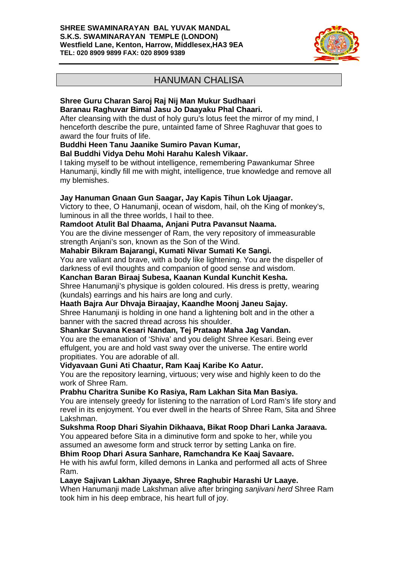#### **SHREE SWAMINARAYAN BAL YUVAK MANDAL S.K.S. SWAMINARAYAN TEMPLE (LONDON) Westfield Lane, Kenton, Harrow, Middlesex,HA3 9EA TEL: 020 8909 9899 FAX: 020 8909 9389**



# HANUMAN CHALISA

#### **Shree Guru Charan Saroj Raj Nij Man Mukur Sudhaari Baranau Raghuvar Bimal Jasu Jo Daayaku Phal Chaari.**

After cleansing with the dust of holy guru's lotus feet the mirror of my mind, I henceforth describe the pure, untainted fame of Shree Raghuvar that goes to award the four fruits of life.

## **Buddhi Heen Tanu Jaanike Sumiro Pavan Kumar,**

**Bal Buddhi Vidya Dehu Mohi Harahu Kalesh Vikaar.** 

I taking myself to be without intelligence, remembering Pawankumar Shree Hanumanji, kindly fill me with might, intelligence, true knowledge and remove all my blemishes.

## **Jay Hanuman Gnaan Gun Saagar, Jay Kapis Tihun Lok Ujaagar.**

Victory to thee, O Hanumanji, ocean of wisdom, hail, oh the King of monkey's, luminous in all the three worlds, I hail to thee.

## **Ramdoot Atulit Bal Dhaama, Anjani Putra Pavansut Naama.**

You are the divine messenger of Ram, the very repository of immeasurable strength Anjani's son, known as the Son of the Wind.

### **Mahabir Bikram Bajarangi, Kumati Nivar Sumati Ke Sangi.**

You are valiant and brave, with a body like lightening. You are the dispeller of darkness of evil thoughts and companion of good sense and wisdom.

**Kanchan Baran Biraaj Subesa, Kaanan Kundal Kunchit Kesha.** 

Shree Hanumanji's physique is golden coloured. His dress is pretty, wearing (kundals) earrings and his hairs are long and curly.

## **Haath Bajra Aur Dhvaja Biraajay, Kaandhe Moonj Janeu Sajay.**

Shree Hanumanji is holding in one hand a lightening bolt and in the other a banner with the sacred thread across his shoulder.

## **Shankar Suvana Kesari Nandan, Tej Prataap Maha Jag Vandan.**

You are the emanation of 'Shiva' and you delight Shree Kesari. Being ever effulgent, you are and hold vast sway over the universe. The entire world propitiates. You are adorable of all.

## **Vidyavaan Guni Ati Chaatur, Ram Kaaj Karibe Ko Aatur.**

You are the repository learning, virtuous; very wise and highly keen to do the work of Shree Ram.

## **Prabhu Charitra Sunibe Ko Rasiya, Ram Lakhan Sita Man Basiya.**

You are intensely greedy for listening to the narration of Lord Ram's life story and revel in its enjoyment. You ever dwell in the hearts of Shree Ram, Sita and Shree Lakshman.

**Sukshma Roop Dhari Siyahin Dikhaava, Bikat Roop Dhari Lanka Jaraava.** 

You appeared before Sita in a diminutive form and spoke to her, while you assumed an awesome form and struck terror by setting Lanka on fire.

## **Bhim Roop Dhari Asura Sanhare, Ramchandra Ke Kaaj Savaare.**

He with his awful form, killed demons in Lanka and performed all acts of Shree Ram.

## **Laaye Sajivan Lakhan Jiyaaye, Shree Raghubir Harashi Ur Laaye.**

When Hanumanji made Lakshman alive after bringing *sanjivani herd* Shree Ram took him in his deep embrace, his heart full of joy.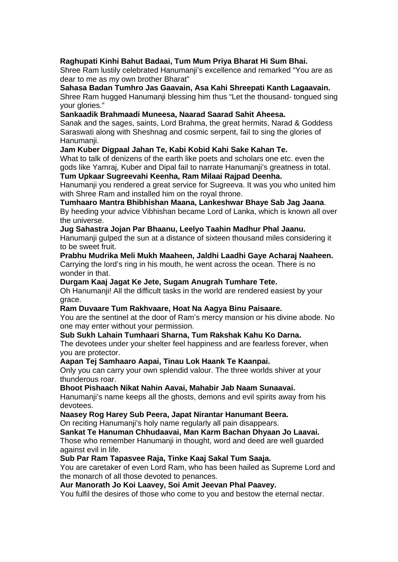## **Raghupati Kinhi Bahut Badaai, Tum Mum Priya Bharat Hi Sum Bhai.**

Shree Ram lustily celebrated Hanumanji's excellence and remarked "You are as dear to me as my own brother Bharat"

**Sahasa Badan Tumhro Jas Gaavain, Asa Kahi Shreepati Kanth Lagaavain.**  Shree Ram hugged Hanumanji blessing him thus "Let the thousand- tongued sing your glories."

#### **Sankaadik Brahmaadi Muneesa, Naarad Saarad Sahit Aheesa.**

Sanak and the sages, saints, Lord Brahma, the great hermits, Narad & Goddess Saraswati along with Sheshnag and cosmic serpent, fail to sing the glories of Hanumanji.

### **Jam Kuber Digpaal Jahan Te, Kabi Kobid Kahi Sake Kahan Te.**

What to talk of denizens of the earth like poets and scholars one etc. even the gods like Yamraj, Kuber and Dipal fail to narrate Hanumanji's greatness in total. **Tum Upkaar Sugreevahi Keenha, Ram Milaai Rajpad Deenha.** 

Hanumanji you rendered a great service for Sugreeva. It was you who united him with Shree Ram and installed him on the royal throne.

**Tumhaaro Mantra Bhibhishan Maana, Lankeshwar Bhaye Sab Jag Jaana**. By heeding your advice Vibhishan became Lord of Lanka, which is known all over the universe.

### **Jug Sahastra Jojan Par Bhaanu, Leelyo Taahin Madhur Phal Jaanu.**

Hanumanji gulped the sun at a distance of sixteen thousand miles considering it to be sweet fruit.

## **Prabhu Mudrika Meli Mukh Maaheen, Jaldhi Laadhi Gaye Acharaj Naaheen.**

Carrying the lord's ring in his mouth, he went across the ocean. There is no wonder in that.

#### **Durgam Kaaj Jagat Ke Jete, Sugam Anugrah Tumhare Tete.**

Oh Hanumanji! All the difficult tasks in the world are rendered easiest by your grace.

#### **Ram Duvaare Tum Rakhvaare, Hoat Na Aagya Binu Paisaare.**

You are the sentinel at the door of Ram's mercy mansion or his divine abode. No one may enter without your permission.

#### **Sub Sukh Lahain Tumhaari Sharna, Tum Rakshak Kahu Ko Darna.**

The devotees under your shelter feel happiness and are fearless forever, when you are protector.

#### **Aapan Tej Samhaaro Aapai, Tinau Lok Haank Te Kaanpai.**

Only you can carry your own splendid valour. The three worlds shiver at your thunderous roar.

**Bhoot Pishaach Nikat Nahin Aavai, Mahabir Jab Naam Sunaavai.** 

Hanumanji's name keeps all the ghosts, demons and evil spirits away from his devotees.

#### **Naasey Rog Harey Sub Peera, Japat Nirantar Hanumant Beera.**

On reciting Hanumanji's holy name regularly all pain disappears.

#### **Sankat Te Hanuman Chhudaavai, Man Karm Bachan Dhyaan Jo Laavai.**

Those who remember Hanumanji in thought, word and deed are well guarded against evil in life.

#### **Sub Par Ram Tapasvee Raja, Tinke Kaaj Sakal Tum Saaja.**

You are caretaker of even Lord Ram, who has been hailed as Supreme Lord and the monarch of all those devoted to penances.

### **Aur Manorath Jo Koi Laavey, Soi Amit Jeevan Phal Paavey.**

You fulfil the desires of those who come to you and bestow the eternal nectar.